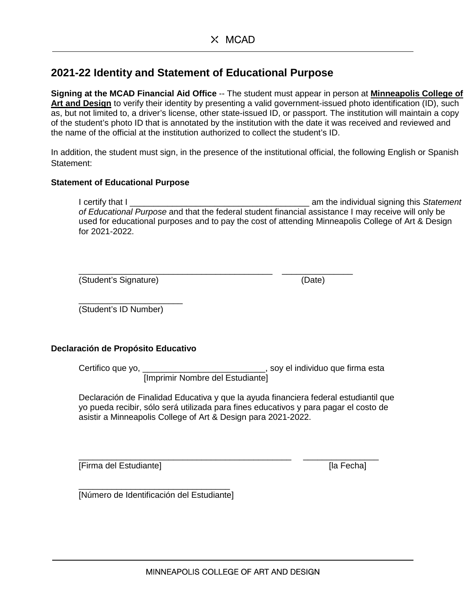# **2021-22 Identity and Statement of Educational Purpose**

**Signing at the MCAD Financial Aid Office** -- The student must appear in person at **Minneapolis College of Art and Design** to verify their identity by presenting a valid government-issued photo identification (ID), such as, but not limited to, a driver's license, other state-issued ID, or passport. The institution will maintain a copy of the student's photo ID that is annotated by the institution with the date it was received and reviewed and the name of the official at the institution authorized to collect the student's ID.

In addition, the student must sign, in the presence of the institutional official, the following English or Spanish Statement:

## **Statement of Educational Purpose**

I certify that I \_\_\_\_\_\_\_\_\_\_\_\_\_\_\_\_\_\_\_\_\_\_\_\_\_\_\_\_\_\_\_\_\_\_\_\_\_\_ am the individual signing this *Statement of Educational Purpose* and that the federal student financial assistance I may receive will only be used for educational purposes and to pay the cost of attending Minneapolis College of Art & Design for 2021-2022.

\_\_\_\_\_\_\_\_\_\_\_\_\_\_\_\_\_\_\_\_\_\_\_\_\_\_\_\_\_\_\_\_\_\_\_\_\_\_\_\_\_ \_\_\_\_\_\_\_\_\_\_\_\_\_\_\_ (Student's Signature) (Date)

\_\_\_\_\_\_\_\_\_\_\_\_\_\_\_\_\_\_\_\_\_\_ (Student's ID Number)

## **Declaración de Propósito Educativo**

Certifico que yo, \_\_\_\_\_\_\_\_\_\_\_\_\_\_\_\_\_\_\_\_\_\_\_\_\_\_, soy el individuo que firma esta [Imprimir Nombre del Estudiante]

Declaración de Finalidad Educativa y que la ayuda financiera federal estudiantil que yo pueda recibir, sólo será utilizada para fines educativos y para pagar el costo de asistir a Minneapolis College of Art & Design para 2021-2022.

\_\_\_\_\_\_\_\_\_\_\_\_\_\_\_\_\_\_\_\_\_\_\_\_\_\_\_\_\_\_\_\_\_\_\_\_\_\_\_\_\_\_\_\_\_ \_\_\_\_\_\_\_\_\_\_\_\_\_\_\_\_ [Firma del Estudiante] [a Fecha]

\_\_\_\_\_\_\_\_\_\_\_\_\_\_\_\_\_\_\_\_\_\_\_\_\_\_\_\_\_\_\_\_ [Número de Identificación del Estudiante]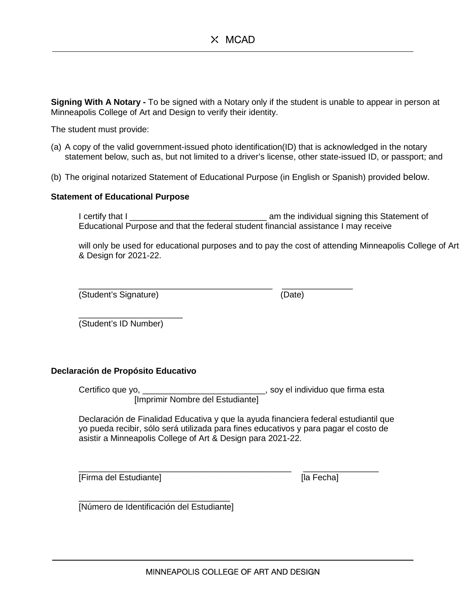**Signing With A Notary -** To be signed with a Notary only if the student is unable to appear in person at Minneapolis College of Art and Design to verify their identity.

The student must provide:

- (a) A copy of the valid government-issued photo identification(ID) that is acknowledged in the notary statement below, such as, but not limited to a driver's license, other state-issued ID, or passport; and
- (b) The original notarized Statement of Educational Purpose (in English or Spanish) provided below.

#### **Statement of Educational Purpose**

I certify that I \_\_\_\_\_\_\_\_\_\_\_\_\_\_\_\_\_\_\_\_\_\_\_\_\_\_\_\_\_ am the individual signing this Statement of Educational Purpose and that the federal student financial assistance I may receive

will only be used for educational purposes and to pay the cost of attending Minneapolis College of Art & Design for 2021-22.

(Student's Signature) (Date)

\_\_\_\_\_\_\_\_\_\_\_\_\_\_\_\_\_\_\_\_\_\_\_\_\_\_\_\_\_\_\_\_\_\_\_\_\_\_\_\_\_ \_\_\_\_\_\_\_\_\_\_\_\_\_\_\_

\_\_\_\_\_\_\_\_\_\_\_\_\_\_\_\_\_\_\_\_\_\_ (Student's ID Number)

#### **Declaración de Propósito Educativo**

Certifico que yo, \_\_\_\_\_\_\_\_\_\_\_\_\_\_\_\_\_\_\_\_\_\_\_\_\_\_, soy el individuo que firma esta [Imprimir Nombre del Estudiante]

Declaración de Finalidad Educativa y que la ayuda financiera federal estudiantil que yo pueda recibir, sólo será utilizada para fines educativos y para pagar el costo de asistir a Minneapolis College of Art & Design para 2021-22.

\_\_\_\_\_\_\_\_\_\_\_\_\_\_\_\_\_\_\_\_\_\_\_\_\_\_\_\_\_\_\_\_\_\_\_\_\_\_\_\_\_\_\_\_\_ \_\_\_\_\_\_\_\_\_\_\_\_\_\_\_\_ [Firma del Estudiante] [la Fecha]

\_\_\_\_\_\_\_\_\_\_\_\_\_\_\_\_\_\_\_\_\_\_\_\_\_\_\_\_\_\_\_\_ [Número de Identificación del Estudiante]